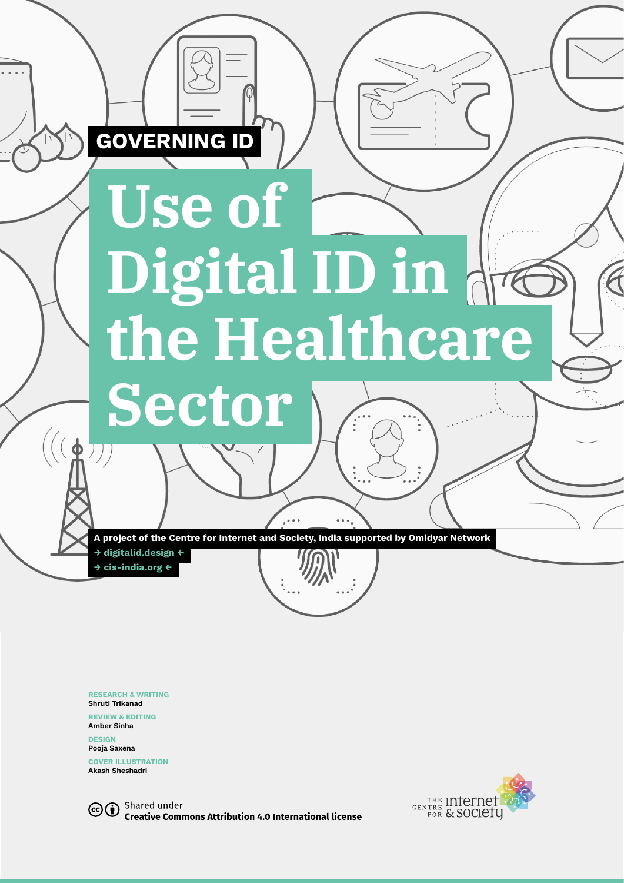# **Use of Digital ID in the Healthcare**

 $\sqrt{2}$  I $\alpha$  in the Healthcare Sector 1

**A project of the Centre for Internet and Society, India supported by Omidyar Network**

**→ [digitalid.design](http://digitalid.design) ← → [cis-india.org](http://cis-india.org) ←**

**Sector**

**GOVERNING ID**

**RESEARCH & WRITING Shruti Trikanad**

**REVIEW & EDITING Amber Sinha**

**DESIGN Pooja Saxena** 

**COVER ILLUSTRATION Akash Sheshadri**

Shared under  $(c)$  (i) **Creative Commons Attribution 4.0 International license** 

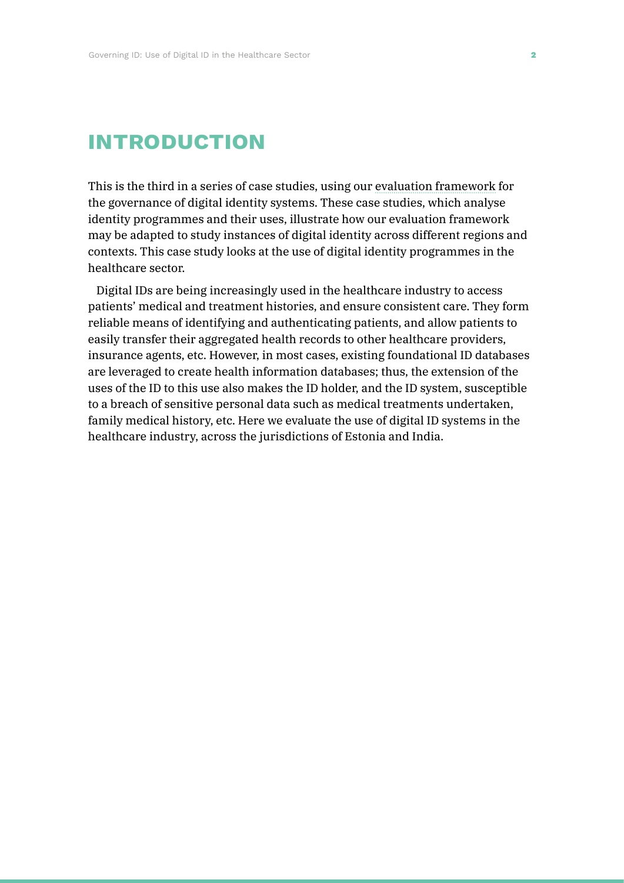# **introduction**

This is the third in a series of case studies, using our [evaluation framework](https://digitalid.design/evaluation-framework-02.html) for the governance of digital identity systems. These case studies, which analyse identity programmes and their uses, illustrate how our evaluation framework may be adapted to study instances of digital identity across different regions and contexts. This case study looks at the use of digital identity programmes in the healthcare sector.

Digital IDs are being increasingly used in the healthcare industry to access patients' medical and treatment histories, and ensure consistent care. They form reliable means of identifying and authenticating patients, and allow patients to easily transfer their aggregated health records to other healthcare providers, insurance agents, etc. However, in most cases, existing foundational ID databases are leveraged to create health information databases; thus, the extension of the uses of the ID to this use also makes the ID holder, and the ID system, susceptible to a breach of sensitive personal data such as medical treatments undertaken, family medical history, etc. Here we evaluate the use of digital ID systems in the healthcare industry, across the jurisdictions of Estonia and India.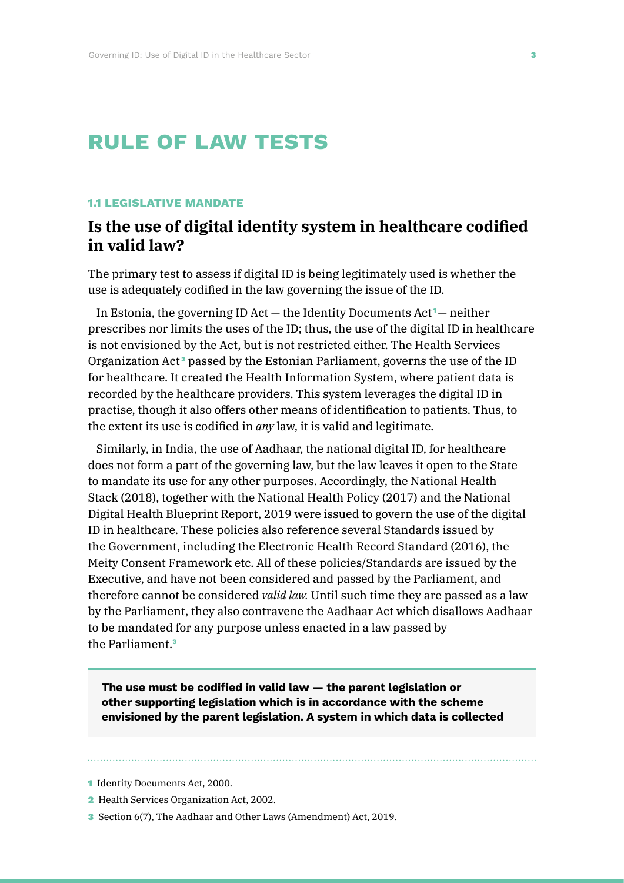# **rule of law tests**

#### **1.1 LEGISLATIVE MANDATE**

## **Is the use of digital identity system in healthcare codified in valid law?**

The primary test to assess if digital ID is being legitimately used is whether the use is adequately codified in the law governing the issue of the ID.

In Estonia, the governing ID Act  $-$  the Identity Documents Act<sup> $1$ </sup> $-$  neither prescribes nor limits the uses of the ID; thus, the use of the digital ID in healthcare is not envisioned by the Act, but is not restricted either. The Health Services Organization  $Act^2$  passed by the Estonian Parliament, governs the use of the ID for healthcare. It created the Health Information System, where patient data is recorded by the healthcare providers. This system leverages the digital ID in practise, though it also offers other means of identification to patients. Thus, to the extent its use is codified in *any* law, it is valid and legitimate.

Similarly, in India, the use of Aadhaar, the national digital ID, for healthcare does not form a part of the governing law, but the law leaves it open to the State to mandate its use for any other purposes. Accordingly, the National Health Stack (2018), together with the National Health Policy (2017) and the National Digital Health Blueprint Report, 2019 were issued to govern the use of the digital ID in healthcare. These policies also reference several Standards issued by the Government, including the Electronic Health Record Standard (2016), the Meity Consent Framework etc. All of these policies/Standards are issued by the Executive, and have not been considered and passed by the Parliament, and therefore cannot be considered *valid law.* Until such time they are passed as a law by the Parliament, they also contravene the Aadhaar Act which disallows Aadhaar to be mandated for any purpose unless enacted in a law passed by the Parliament.<sup>3</sup>

**The use must be codified in valid law — the parent legislation or other supporting legislation which is in accordance with the scheme envisioned by the parent legislation. A system in which data is collected** 

- 1 Identity Documents Act, 2000.
- 2 Health Services Organization Act, 2002.
- 3 Section 6(7), The Aadhaar and Other Laws (Amendment) Act, 2019.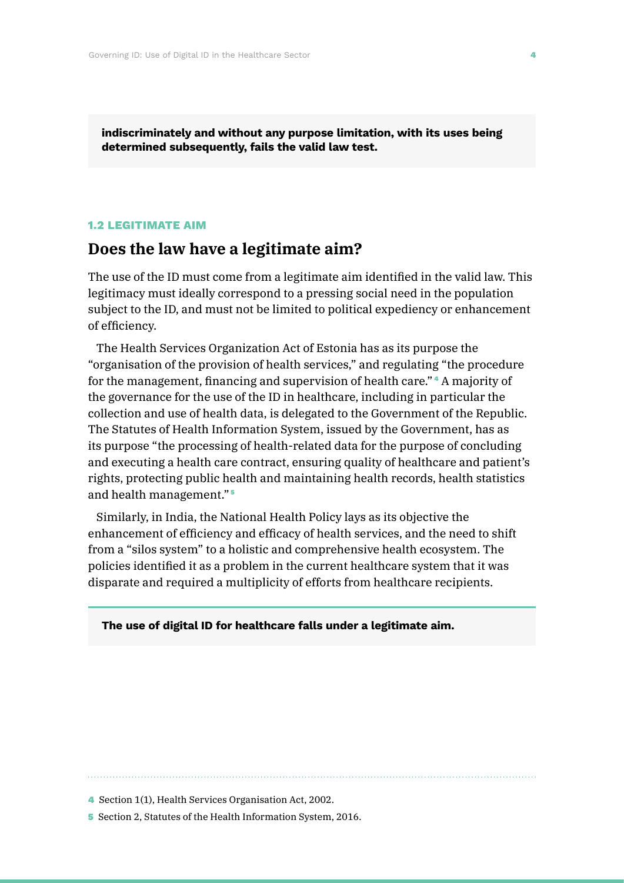**indiscriminately and without any purpose limitation, with its uses being determined subsequently, fails the valid law test.**

#### **1.2 LEGITIMATE AIM**

### **Does the law have a legitimate aim?**

The use of the ID must come from a legitimate aim identified in the valid law. This legitimacy must ideally correspond to a pressing social need in the population subject to the ID, and must not be limited to political expediency or enhancement of efficiency.

The Health Services Organization Act of Estonia has as its purpose the "organisation of the provision of health services," and regulating "the procedure for the management, financing and supervision of health care." <sup>4</sup> A majority of the governance for the use of the ID in healthcare, including in particular the collection and use of health data, is delegated to the Government of the Republic. The Statutes of Health Information System, issued by the Government, has as its purpose "the processing of health-related data for the purpose of concluding and executing a health care contract, ensuring quality of healthcare and patient's rights, protecting public health and maintaining health records, health statistics and health management." <sup>5</sup>

Similarly, in India, the National Health Policy lays as its objective the enhancement of efficiency and efficacy of health services, and the need to shift from a "silos system" to a holistic and comprehensive health ecosystem. The policies identified it as a problem in the current healthcare system that it was disparate and required a multiplicity of efforts from healthcare recipients.

#### **The use of digital ID for healthcare falls under a legitimate aim.**

4 Section 1(1), Health Services Organisation Act, 2002.

5 Section 2, Statutes of the Health Information System, 2016.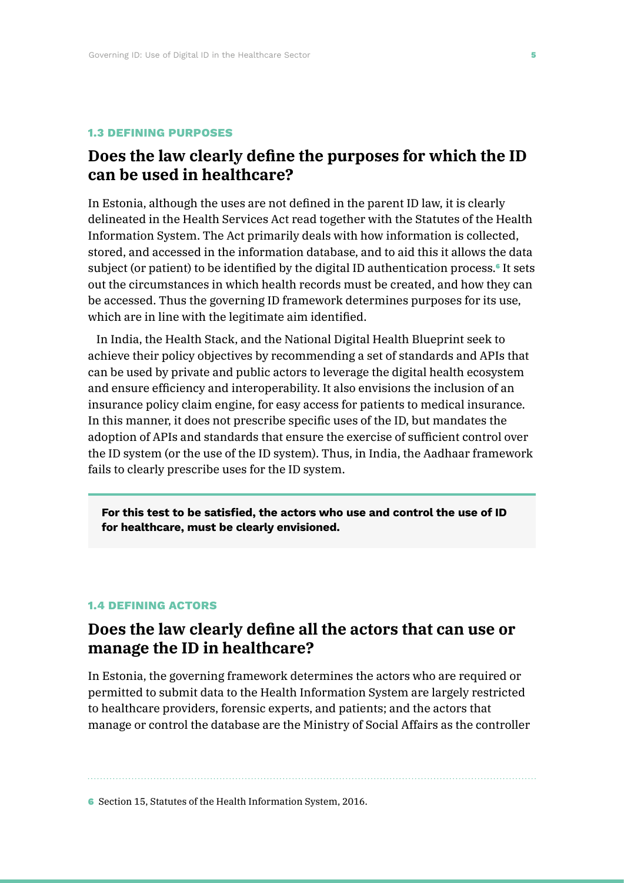#### **1.3 DEFINING PURPOSES**

## **Does the law clearly define the purposes for which the ID can be used in healthcare?**

In Estonia, although the uses are not defined in the parent ID law, it is clearly delineated in the Health Services Act read together with the Statutes of the Health Information System. The Act primarily deals with how information is collected, stored, and accessed in the information database, and to aid this it allows the data subject (or patient) to be identified by the digital ID authentication process.<sup>6</sup> It sets out the circumstances in which health records must be created, and how they can be accessed. Thus the governing ID framework determines purposes for its use, which are in line with the legitimate aim identified.

In India, the Health Stack, and the National Digital Health Blueprint seek to achieve their policy objectives by recommending a set of standards and APIs that can be used by private and public actors to leverage the digital health ecosystem and ensure efficiency and interoperability. It also envisions the inclusion of an insurance policy claim engine, for easy access for patients to medical insurance. In this manner, it does not prescribe specific uses of the ID, but mandates the adoption of APIs and standards that ensure the exercise of sufficient control over the ID system (or the use of the ID system). Thus, in India, the Aadhaar framework fails to clearly prescribe uses for the ID system.

**For this test to be satisfied, the actors who use and control the use of ID for healthcare, must be clearly envisioned.**

#### **1.4 DEFINING ACTORS**

## **Does the law clearly define all the actors that can use or manage the ID in healthcare?**

In Estonia, the governing framework determines the actors who are required or permitted to submit data to the Health Information System are largely restricted to healthcare providers, forensic experts, and patients; and the actors that manage or control the database are the Ministry of Social Affairs as the controller

6 Section 15, Statutes of the Health Information System, 2016.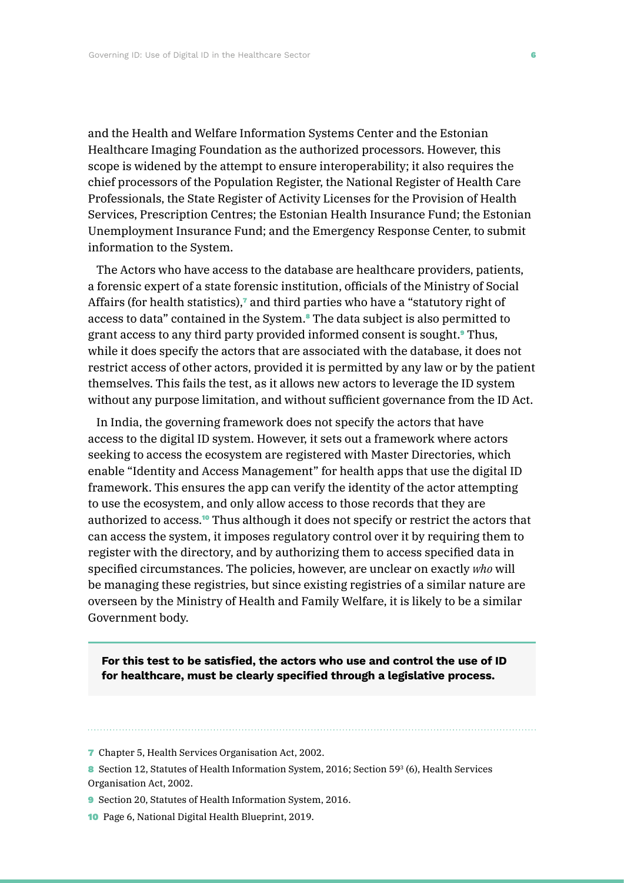and the Health and Welfare Information Systems Center and the Estonian Healthcare Imaging Foundation as the authorized processors. However, this scope is widened by the attempt to ensure interoperability; it also requires the chief processors of the Population Register, the National Register of Health Care Professionals, the State Register of Activity Licenses for the Provision of Health Services, Prescription Centres; the Estonian Health Insurance Fund; the Estonian Unemployment Insurance Fund; and the Emergency Response Center, to submit information to the System.

The Actors who have access to the database are healthcare providers, patients, a forensic expert of a state forensic institution, officials of the Ministry of Social Affairs (for health statistics),<sup>7</sup> and third parties who have a "statutory right of access to data" contained in the System.<sup>8</sup> The data subject is also permitted to grant access to any third party provided informed consent is sought.9 Thus, while it does specify the actors that are associated with the database, it does not restrict access of other actors, provided it is permitted by any law or by the patient themselves. This fails the test, as it allows new actors to leverage the ID system without any purpose limitation, and without sufficient governance from the ID Act.

In India, the governing framework does not specify the actors that have access to the digital ID system. However, it sets out a framework where actors seeking to access the ecosystem are registered with Master Directories, which enable "Identity and Access Management" for health apps that use the digital ID framework. This ensures the app can verify the identity of the actor attempting to use the ecosystem, and only allow access to those records that they are authorized to access.<sup>10</sup> Thus although it does not specify or restrict the actors that can access the system, it imposes regulatory control over it by requiring them to register with the directory, and by authorizing them to access specified data in specified circumstances. The policies, however, are unclear on exactly *who* will be managing these registries, but since existing registries of a similar nature are overseen by the Ministry of Health and Family Welfare, it is likely to be a similar Government body.

**For this test to be satisfied, the actors who use and control the use of ID for healthcare, must be clearly specified through a legislative process.**

- 9 Section 20, Statutes of Health Information System, 2016.
- 10 Page 6, National Digital Health Blueprint, 2019.

<sup>7</sup> Chapter 5, Health Services Organisation Act, 2002.

<sup>8</sup> Section 12, Statutes of Health Information System, 2016; Section 59<sup>3</sup> (6), Health Services Organisation Act, 2002.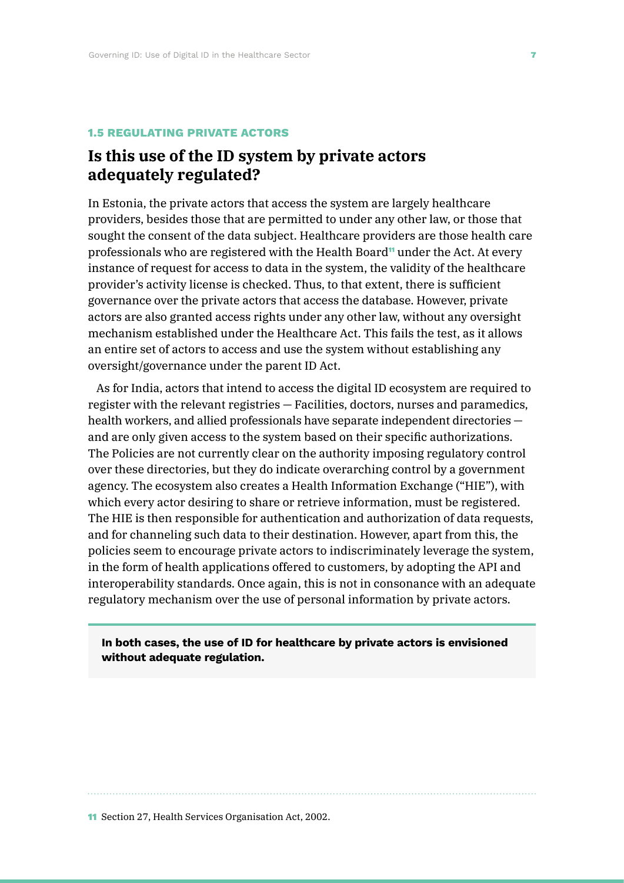#### **1.5 REGULATING PRIVATE ACTORS**

## **Is this use of the ID system by private actors adequately regulated?**

In Estonia, the private actors that access the system are largely healthcare providers, besides those that are permitted to under any other law, or those that sought the consent of the data subject. Healthcare providers are those health care professionals who are registered with the Health Board<sup>11</sup> under the Act. At every instance of request for access to data in the system, the validity of the healthcare provider's activity license is checked. Thus, to that extent, there is sufficient governance over the private actors that access the database. However, private actors are also granted access rights under any other law, without any oversight mechanism established under the Healthcare Act. This fails the test, as it allows an entire set of actors to access and use the system without establishing any oversight/governance under the parent ID Act.

As for India, actors that intend to access the digital ID ecosystem are required to register with the relevant registries — Facilities, doctors, nurses and paramedics, health workers, and allied professionals have separate independent directories and are only given access to the system based on their specific authorizations. The Policies are not currently clear on the authority imposing regulatory control over these directories, but they do indicate overarching control by a government agency. The ecosystem also creates a Health Information Exchange ("HIE"), with which every actor desiring to share or retrieve information, must be registered. The HIE is then responsible for authentication and authorization of data requests, and for channeling such data to their destination. However, apart from this, the policies seem to encourage private actors to indiscriminately leverage the system, in the form of health applications offered to customers, by adopting the API and interoperability standards. Once again, this is not in consonance with an adequate regulatory mechanism over the use of personal information by private actors.

**In both cases, the use of ID for healthcare by private actors is envisioned without adequate regulation.**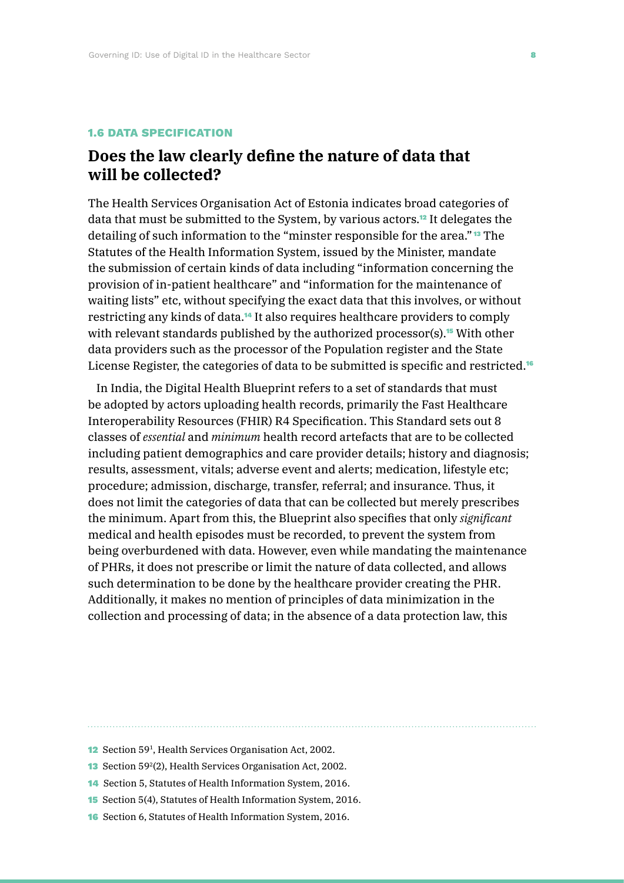#### **1.6 DATA SPECIFICATION**

## **Does the law clearly define the nature of data that will be collected?**

The Health Services Organisation Act of Estonia indicates broad categories of data that must be submitted to the System, by various actors.12 It delegates the detailing of such information to the "minster responsible for the area." <sup>13</sup> The Statutes of the Health Information System, issued by the Minister, mandate the submission of certain kinds of data including "information concerning the provision of in-patient healthcare" and "information for the maintenance of waiting lists" etc, without specifying the exact data that this involves, or without restricting any kinds of data.14 It also requires healthcare providers to comply with relevant standards published by the authorized processor(s).<sup>15</sup> With other data providers such as the processor of the Population register and the State License Register, the categories of data to be submitted is specific and restricted.<sup>16</sup>

In India, the Digital Health Blueprint refers to a set of standards that must be adopted by actors uploading health records, primarily the Fast Healthcare Interoperability Resources (FHIR) R4 Specification. This Standard sets out 8 classes of *essential* and *minimum* health record artefacts that are to be collected including patient demographics and care provider details; history and diagnosis; results, assessment, vitals; adverse event and alerts; medication, lifestyle etc; procedure; admission, discharge, transfer, referral; and insurance. Thus, it does not limit the categories of data that can be collected but merely prescribes the minimum. Apart from this, the Blueprint also specifies that only *significant* medical and health episodes must be recorded, to prevent the system from being overburdened with data. However, even while mandating the maintenance of PHRs, it does not prescribe or limit the nature of data collected, and allows such determination to be done by the healthcare provider creating the PHR. Additionally, it makes no mention of principles of data minimization in the collection and processing of data; in the absence of a data protection law, this

- 13 Section 59<sup>2</sup>(2), Health Services Organisation Act, 2002.
- 14 Section 5, Statutes of Health Information System, 2016.
- 15 Section 5(4), Statutes of Health Information System, 2016.
- 16 Section 6, Statutes of Health Information System, 2016.

<sup>12</sup> Section 591, Health Services Organisation Act, 2002.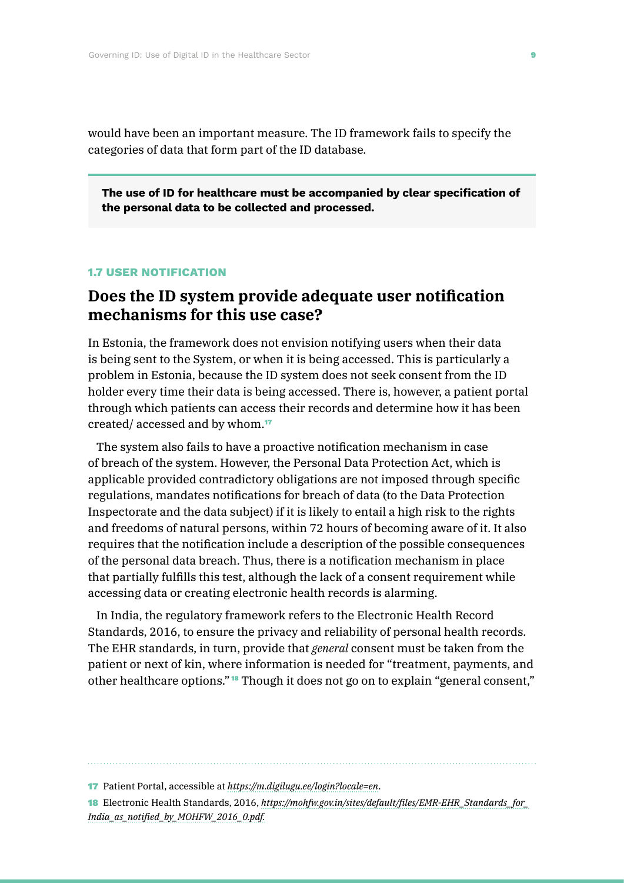would have been an important measure. The ID framework fails to specify the categories of data that form part of the ID database.

**The use of ID for healthcare must be accompanied by clear specification of the personal data to be collected and processed.**

#### **1.7 USER NOTIFICATION**

## **Does the ID system provide adequate user notification mechanisms for this use case?**

In Estonia, the framework does not envision notifying users when their data is being sent to the System, or when it is being accessed. This is particularly a problem in Estonia, because the ID system does not seek consent from the ID holder every time their data is being accessed. There is, however, a patient portal through which patients can access their records and determine how it has been created/ accessed and by whom.<sup>17</sup>

The system also fails to have a proactive notification mechanism in case of breach of the system. However, the Personal Data Protection Act, which is applicable provided contradictory obligations are not imposed through specific regulations, mandates notifications for breach of data (to the Data Protection Inspectorate and the data subject) if it is likely to entail a high risk to the rights and freedoms of natural persons, within 72 hours of becoming aware of it. It also requires that the notification include a description of the possible consequences of the personal data breach. Thus, there is a notification mechanism in place that partially fulfills this test, although the lack of a consent requirement while accessing data or creating electronic health records is alarming.

In India, the regulatory framework refers to the Electronic Health Record Standards, 2016, to ensure the privacy and reliability of personal health records. The EHR standards, in turn, provide that *general* consent must be taken from the patient or next of kin, where information is needed for "treatment, payments, and other healthcare options." <sup>18</sup> Though it does not go on to explain "general consent,"

<sup>17</sup> Patient Portal, accessible at *<https://m.digilugu.ee/login?locale=en>*.

<sup>18</sup> Electronic Health Standards, 2016, *[https://mohfw.gov.in/sites/default/files/EMR-EHR\\_Standards\\_ for\\_](https://mohfw.gov.in/sites/default/files/EMR-EHR_Standards_for_India_as_notified_by_MOHFW_2016_0.pdf) [India\\_as\\_notified\\_by\\_MOHFW\\_2016\\_0.pdf.](https://mohfw.gov.in/sites/default/files/EMR-EHR_Standards_for_India_as_notified_by_MOHFW_2016_0.pdf)*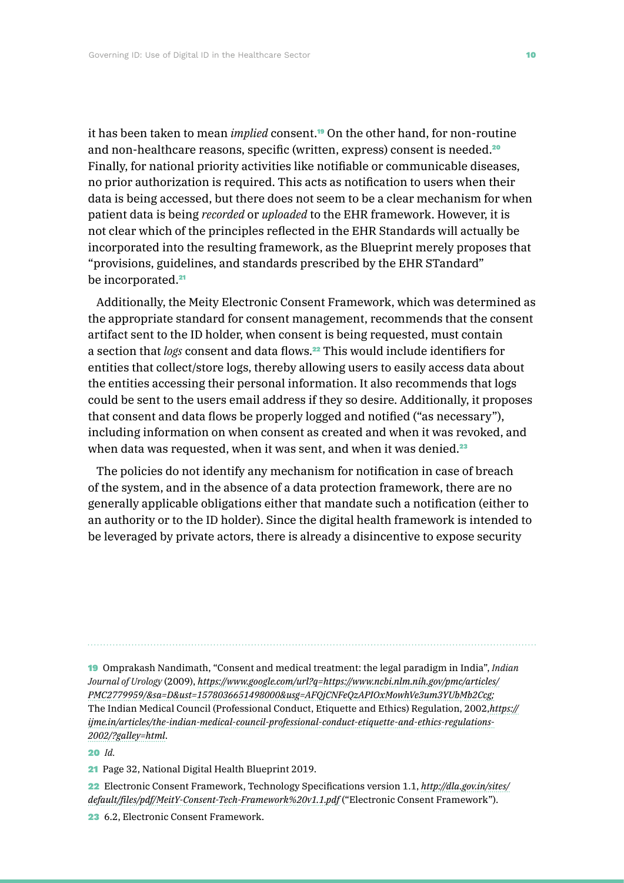it has been taken to mean *implied* consent.19 On the other hand, for non-routine and non-healthcare reasons, specific (written, express) consent is needed.<sup>20</sup> Finally, for national priority activities like notifiable or communicable diseases, no prior authorization is required. This acts as notification to users when their data is being accessed, but there does not seem to be a clear mechanism for when patient data is being *recorded* or *uploaded* to the EHR framework. However, it is not clear which of the principles reflected in the EHR Standards will actually be incorporated into the resulting framework, as the Blueprint merely proposes that "provisions, guidelines, and standards prescribed by the EHR STandard" be incorporated.<sup>21</sup>

Additionally, the Meity Electronic Consent Framework, which was determined as the appropriate standard for consent management, recommends that the consent artifact sent to the ID holder, when consent is being requested, must contain a section that *logs* consent and data flows.22 This would include identifiers for entities that collect/store logs, thereby allowing users to easily access data about the entities accessing their personal information. It also recommends that logs could be sent to the users email address if they so desire. Additionally, it proposes that consent and data flows be properly logged and notified ("as necessary"), including information on when consent as created and when it was revoked, and when data was requested, when it was sent, and when it was denied.<sup>23</sup>

The policies do not identify any mechanism for notification in case of breach of the system, and in the absence of a data protection framework, there are no generally applicable obligations either that mandate such a notification (either to an authority or to the ID holder). Since the digital health framework is intended to be leveraged by private actors, there is already a disincentive to expose security

19 Omprakash Nandimath, "Consent and medical treatment: the legal paradigm in India", *Indian Journal of Urology* (2009), *[https://www.google.com/url?q=https://www.ncbi.nlm.nih.gov/pmc/articles/](https://www.google.com/url?q=https://www.ncbi.nlm.nih.gov/pmc/articles/PMC2779959/&sa=D&ust=15780366) [PMC2779959/&sa=D&ust=1578036651498000&usg=AFQjCNFeQzAPIOxMowhVe3um3YUbMb2Ccg;](https://www.google.com/url?q=https://www.ncbi.nlm.nih.gov/pmc/articles/PMC2779959/&sa=D&ust=15780366)* The Indian Medical Council (Professional Conduct, Etiquette and Ethics) Regulation, 2002,*[https://](https://ijme.in/articles/the-indian-medical-council-professional-conduct-etiquette-and-ethics-regula) [ijme.in/articles/the-indian-medical-council-professional-conduct-etiquette-and-ethics-regulations-](https://ijme.in/articles/the-indian-medical-council-professional-conduct-etiquette-and-ethics-regula)[2002/?galley=html](https://ijme.in/articles/the-indian-medical-council-professional-conduct-etiquette-and-ethics-regula)*.

20 *Id.*

21 Page 32, National Digital Health Blueprint 2019.

22 Electronic Consent Framework, Technology Specifications version 1.1, *[http://dla.gov.in/sites/](http://dla.gov.in/sites/default/files/pdf/MeitY-Consent-Tech-Framework%20v1.1.pdf) [default/files/pdf/MeitY-Consent-Tech-Framework%20v1.1.pdf](http://dla.gov.in/sites/default/files/pdf/MeitY-Consent-Tech-Framework%20v1.1.pdf)* ("Electronic Consent Framework").

23 6.2, Electronic Consent Framework.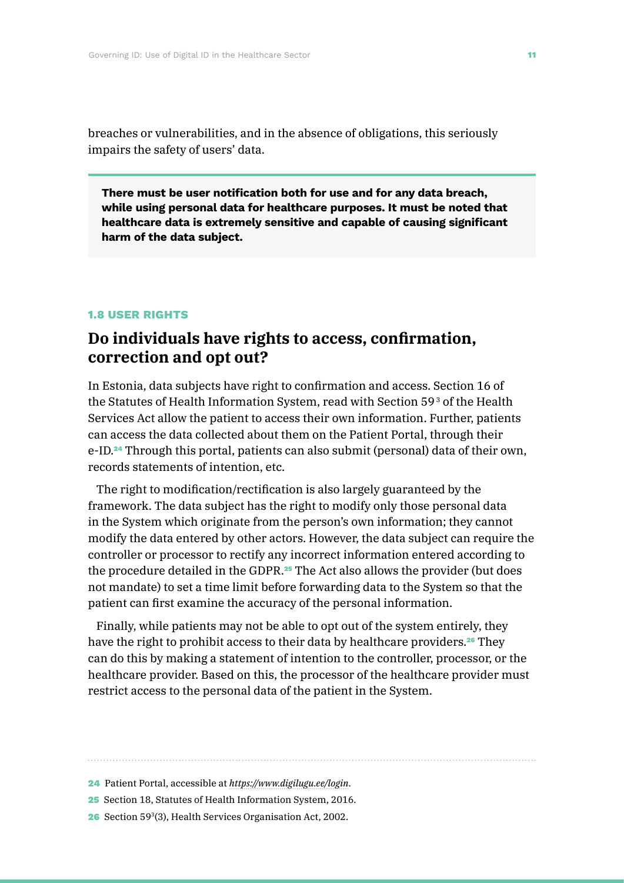breaches or vulnerabilities, and in the absence of obligations, this seriously impairs the safety of users' data.

**There must be user notification both for use and for any data breach, while using personal data for healthcare purposes. It must be noted that healthcare data is extremely sensitive and capable of causing significant harm of the data subject.**

#### **1.8 USER RIGHTS**

## **Do individuals have rights to access, confirmation, correction and opt out?**

In Estonia, data subjects have right to confirmation and access. Section 16 of the Statutes of Health Information System, read with Section 59<sup>3</sup> of the Health Services Act allow the patient to access their own information. Further, patients can access the data collected about them on the Patient Portal, through their e-ID.<sup>24</sup> Through this portal, patients can also submit (personal) data of their own, records statements of intention, etc.

The right to modification/rectification is also largely guaranteed by the framework. The data subject has the right to modify only those personal data in the System which originate from the person's own information; they cannot modify the data entered by other actors. However, the data subject can require the controller or processor to rectify any incorrect information entered according to the procedure detailed in the GDPR.<sup>25</sup> The Act also allows the provider (but does not mandate) to set a time limit before forwarding data to the System so that the patient can first examine the accuracy of the personal information.

Finally, while patients may not be able to opt out of the system entirely, they have the right to prohibit access to their data by healthcare providers.<sup>26</sup> They can do this by making a statement of intention to the controller, processor, or the healthcare provider. Based on this, the processor of the healthcare provider must restrict access to the personal data of the patient in the System.

<sup>24</sup> Patient Portal, accessible at *<https://www.digilugu.ee/login>*.

<sup>25</sup> Section 18, Statutes of Health Information System, 2016.

<sup>26</sup> Section 593(3), Health Services Organisation Act, 2002.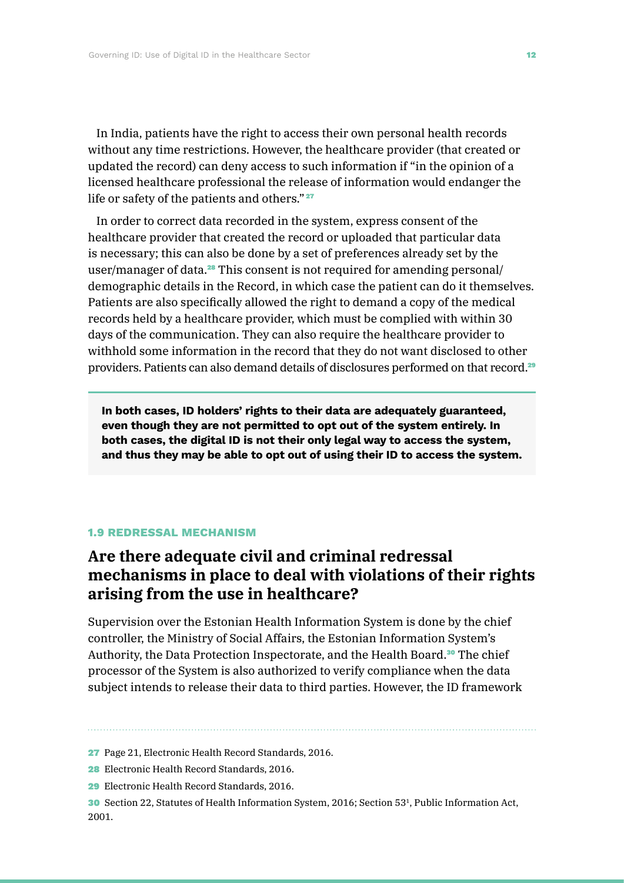In India, patients have the right to access their own personal health records without any time restrictions. However, the healthcare provider (that created or updated the record) can deny access to such information if "in the opinion of a licensed healthcare professional the release of information would endanger the life or safety of the patients and others."<sup>27</sup>

In order to correct data recorded in the system, express consent of the healthcare provider that created the record or uploaded that particular data is necessary; this can also be done by a set of preferences already set by the user/manager of data.<sup>28</sup> This consent is not required for amending personal/ demographic details in the Record, in which case the patient can do it themselves. Patients are also specifically allowed the right to demand a copy of the medical records held by a healthcare provider, which must be complied with within 30 days of the communication. They can also require the healthcare provider to withhold some information in the record that they do not want disclosed to other providers. Patients can also demand details of disclosures performed on that record.<sup>29</sup>

**In both cases, ID holders' rights to their data are adequately guaranteed, even though they are not permitted to opt out of the system entirely. In both cases, the digital ID is not their only legal way to access the system, and thus they may be able to opt out of using their ID to access the system.**

#### **1.9 REDRESSAL MECHANISM**

## **Are there adequate civil and criminal redressal mechanisms in place to deal with violations of their rights arising from the use in healthcare?**

Supervision over the Estonian Health Information System is done by the chief controller, the Ministry of Social Affairs, the Estonian Information System's Authority, the Data Protection Inspectorate, and the Health Board.<sup>30</sup> The chief processor of the System is also authorized to verify compliance when the data subject intends to release their data to third parties. However, the ID framework

27 Page 21, Electronic Health Record Standards, 2016.

**28** Electronic Health Record Standards, 2016.

29 Electronic Health Record Standards, 2016.

30 Section 22, Statutes of Health Information System, 2016; Section 531, Public Information Act, 2001.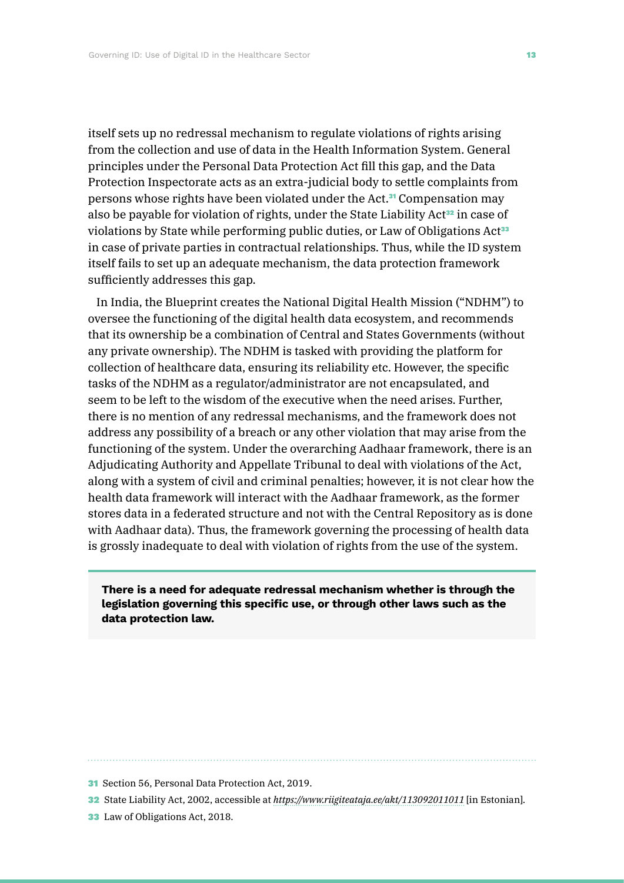itself sets up no redressal mechanism to regulate violations of rights arising from the collection and use of data in the Health Information System. General principles under the Personal Data Protection Act fill this gap, and the Data Protection Inspectorate acts as an extra-judicial body to settle complaints from persons whose rights have been violated under the Act.31 Compensation may also be payable for violation of rights, under the State Liability Act<sup>32</sup> in case of violations by State while performing public duties, or Law of Obligations Act<sup>33</sup> in case of private parties in contractual relationships. Thus, while the ID system itself fails to set up an adequate mechanism, the data protection framework sufficiently addresses this gap.

In India, the Blueprint creates the National Digital Health Mission ("NDHM") to oversee the functioning of the digital health data ecosystem, and recommends that its ownership be a combination of Central and States Governments (without any private ownership). The NDHM is tasked with providing the platform for collection of healthcare data, ensuring its reliability etc. However, the specific tasks of the NDHM as a regulator/administrator are not encapsulated, and seem to be left to the wisdom of the executive when the need arises. Further, there is no mention of any redressal mechanisms, and the framework does not address any possibility of a breach or any other violation that may arise from the functioning of the system. Under the overarching Aadhaar framework, there is an Adjudicating Authority and Appellate Tribunal to deal with violations of the Act, along with a system of civil and criminal penalties; however, it is not clear how the health data framework will interact with the Aadhaar framework, as the former stores data in a federated structure and not with the Central Repository as is done with Aadhaar data). Thus, the framework governing the processing of health data is grossly inadequate to deal with violation of rights from the use of the system.

**There is a need for adequate redressal mechanism whether is through the legislation governing this specific use, or through other laws such as the data protection law.**

33 Law of Obligations Act, 2018.

<sup>31</sup> Section 56, Personal Data Protection Act, 2019.

<sup>32</sup> State Liability Act, 2002, accessible at *<https://www.riigiteataja.ee/akt/113092011011>* [in Estonian].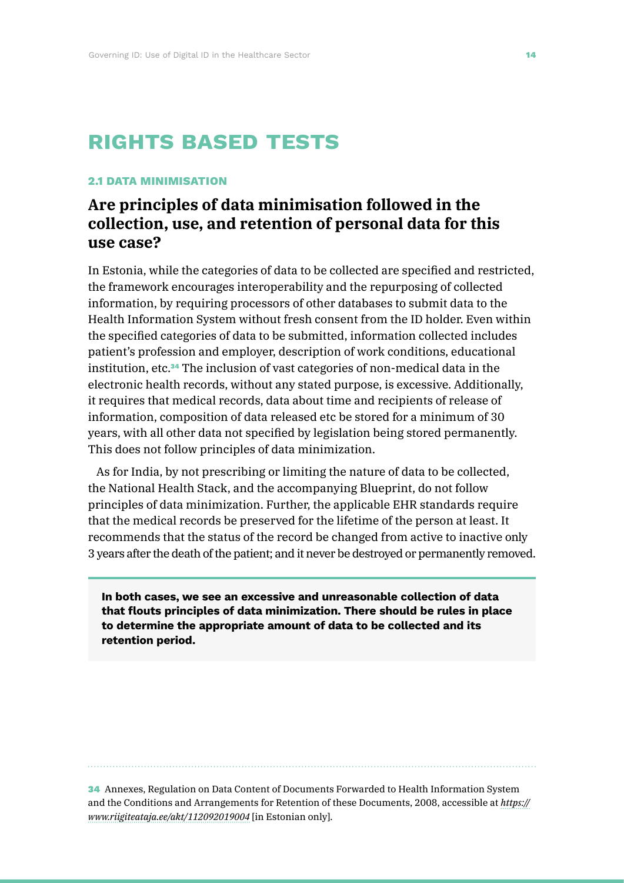# **rights based tests**

#### **2.1 DATA MINIMISATION**

## **Are principles of data minimisation followed in the collection, use, and retention of personal data for this use case?**

In Estonia, while the categories of data to be collected are specified and restricted, the framework encourages interoperability and the repurposing of collected information, by requiring processors of other databases to submit data to the Health Information System without fresh consent from the ID holder. Even within the specified categories of data to be submitted, information collected includes patient's profession and employer, description of work conditions, educational institution, etc.34 The inclusion of vast categories of non-medical data in the electronic health records, without any stated purpose, is excessive. Additionally, it requires that medical records, data about time and recipients of release of information, composition of data released etc be stored for a minimum of 30 years, with all other data not specified by legislation being stored permanently. This does not follow principles of data minimization.

As for India, by not prescribing or limiting the nature of data to be collected, the National Health Stack, and the accompanying Blueprint, do not follow principles of data minimization. Further, the applicable EHR standards require that the medical records be preserved for the lifetime of the person at least. It recommends that the status of the record be changed from active to inactive only 3 years after the death of the patient; and it never be destroyed or permanently removed.

**In both cases, we see an excessive and unreasonable collection of data that flouts principles of data minimization. There should be rules in place to determine the appropriate amount of data to be collected and its retention period.**

34 Annexes, Regulation on Data Content of Documents Forwarded to Health Information System and the Conditions and Arrangements for Retention of these Documents, 2008, accessible at *[https://](https://www.riigiteataja.ee/akt/112092019004) [www.riigiteataja.ee/akt/112092019004](https://www.riigiteataja.ee/akt/112092019004)* [in Estonian only].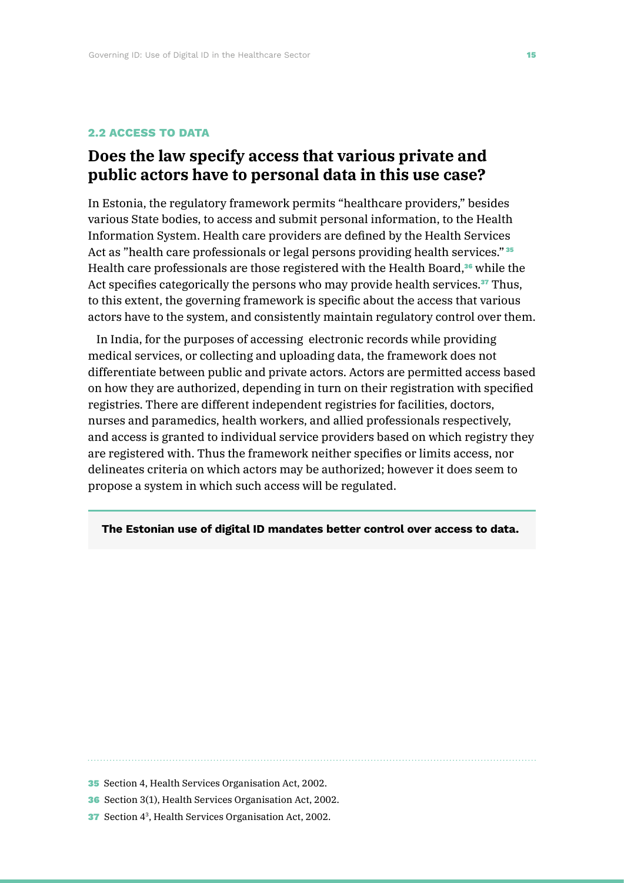#### **2.2 ACCESS TO DATA**

## **Does the law specify access that various private and public actors have to personal data in this use case?**

In Estonia, the regulatory framework permits "healthcare providers," besides various State bodies, to access and submit personal information, to the Health Information System. Health care providers are defined by the Health Services Act as "health care professionals or legal persons providing health services." <sup>35</sup> Health care professionals are those registered with the Health Board,<sup>36</sup> while the Act specifies categorically the persons who may provide health services.<sup>37</sup> Thus, to this extent, the governing framework is specific about the access that various actors have to the system, and consistently maintain regulatory control over them.

In India, for the purposes of accessing electronic records while providing medical services, or collecting and uploading data, the framework does not differentiate between public and private actors. Actors are permitted access based on how they are authorized, depending in turn on their registration with specified registries. There are different independent registries for facilities, doctors, nurses and paramedics, health workers, and allied professionals respectively, and access is granted to individual service providers based on which registry they are registered with. Thus the framework neither specifies or limits access, nor delineates criteria on which actors may be authorized; however it does seem to propose a system in which such access will be regulated.

#### **The Estonian use of digital ID mandates better control over access to data.**

35 Section 4, Health Services Organisation Act, 2002.

36 Section 3(1), Health Services Organisation Act, 2002.

**37** Section 4<sup>3</sup>, Health Services Organisation Act, 2002.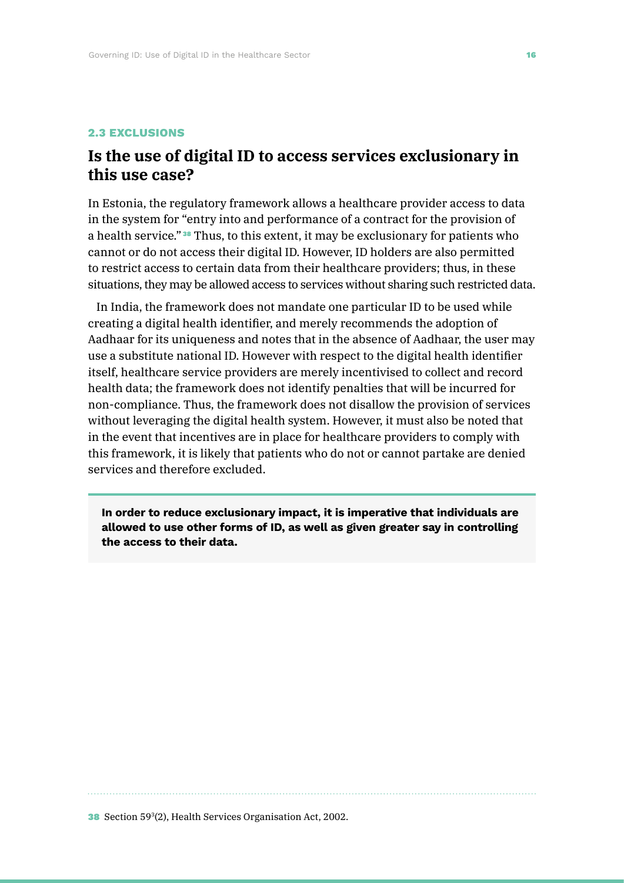#### **2.3 EXCLUSIONS**

## **Is the use of digital ID to access services exclusionary in this use case?**

In Estonia, the regulatory framework allows a healthcare provider access to data in the system for "entry into and performance of a contract for the provision of a health service." <sup>38</sup> Thus, to this extent, it may be exclusionary for patients who cannot or do not access their digital ID. However, ID holders are also permitted to restrict access to certain data from their healthcare providers; thus, in these situations, they may be allowed access to services without sharing such restricted data.

In India, the framework does not mandate one particular ID to be used while creating a digital health identifier, and merely recommends the adoption of Aadhaar for its uniqueness and notes that in the absence of Aadhaar, the user may use a substitute national ID. However with respect to the digital health identifier itself, healthcare service providers are merely incentivised to collect and record health data; the framework does not identify penalties that will be incurred for non-compliance. Thus, the framework does not disallow the provision of services without leveraging the digital health system. However, it must also be noted that in the event that incentives are in place for healthcare providers to comply with this framework, it is likely that patients who do not or cannot partake are denied services and therefore excluded.

**In order to reduce exclusionary impact, it is imperative that individuals are allowed to use other forms of ID, as well as given greater say in controlling the access to their data.**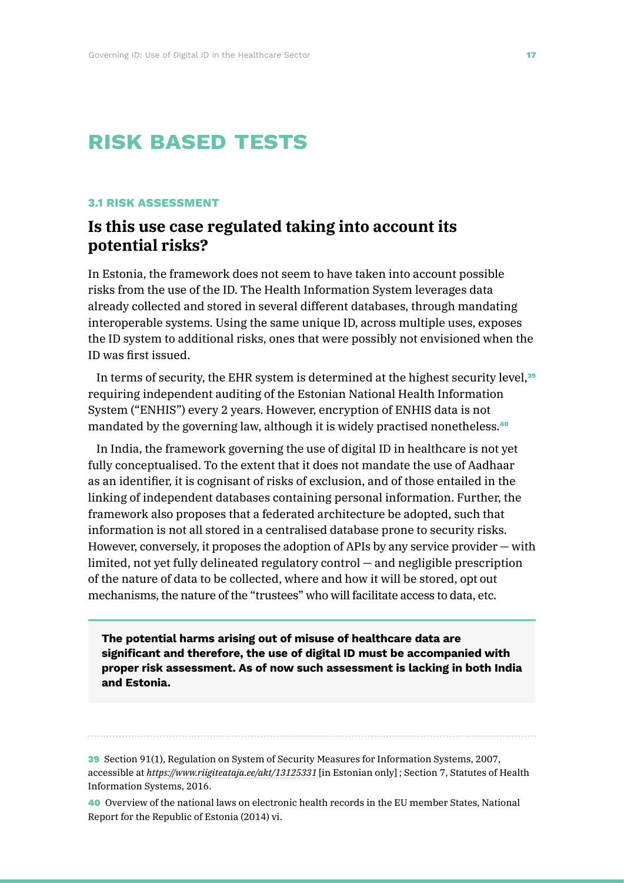# **risk based tests**

#### **3.1 RISK ASSESSMENT**

## **Is this use case regulated taking into account its potential risks?**

In Estonia, the framework does not seem to have taken into account possible risks from the use of the ID. The Health Information System leverages data already collected and stored in several different databases, through mandating interoperable systems. Using the same unique ID, across multiple uses, exposes the ID system to additional risks, ones that were possibly not envisioned when the ID was first issued.

In terms of security, the EHR system is determined at the highest security level,<sup>39</sup> requiring independent auditing of the Estonian National Health Information System ("ENHIS") every 2 years. However, encryption of ENHIS data is not mandated by the governing law, although it is widely practised nonetheless.<sup>40</sup>

In India, the framework governing the use of digital ID in healthcare is not yet fully conceptualised. To the extent that it does not mandate the use of Aadhaar as an identifier, it is cognisant of risks of exclusion, and of those entailed in the linking of independent databases containing personal information. Further, the framework also proposes that a federated architecture be adopted, such that information is not all stored in a centralised database prone to security risks. However, conversely, it proposes the adoption of APIs by any service provider — with limited, not yet fully delineated regulatory control — and negligible prescription of the nature of data to be collected, where and how it will be stored, opt out mechanisms, the nature of the "trustees" who will facilitate access to data, etc.

**The potential harms arising out of misuse of healthcare data are significant and therefore, the use of digital ID must be accompanied with proper risk assessment. As of now such assessment is lacking in both India and Estonia.**

39 Section 91(1), Regulation on System of Security Measures for Information Systems, 2007, accessible at *<https://www.riigiteataja.ee/akt/13125331>* [in Estonian only] ; Section 7, Statutes of Health Information Systems, 2016.

40 Overview of the national laws on electronic health records in the EU member States, National Report for the Republic of Estonia (2014) vi.